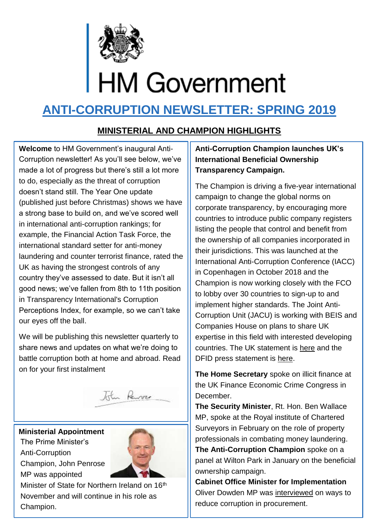

# **ANTI-CORRUPTION NEWSLETTER: SPRING 2019**

#### **MINISTERIAL AND CHAMPION HIGHLIGHTS**

**Welcome** to HM Government's inaugural Anti-Corruption newsletter! As you'll see below, we've made a lot of progress but there's still a lot more to do, especially as the threat of corruption doesn't stand still. The Year One update (published just before Christmas) shows we have a strong base to build on, and we've scored well in international anti-corruption rankings; for example, the Financial Action Task Force, the international standard setter for anti-money laundering and counter terrorist finance, rated the UK as having the strongest controls of any country they've assessed to date. But it isn't all good news; we've fallen from 8th to 11th position in Transparency International's Corruption Perceptions Index, for example, so we can't take our eyes off the ball.

We will be publishing this newsletter quarterly to share news and updates on what we're doing to battle corruption both at home and abroad. Read on for your first instalment



**Ministerial Appointment** The Prime Minister's Anti-Corruption Champion, John Penrose MP was appointed



Minister of State for Northern Ireland on 16<sup>th</sup> November and will continue in his role as Champion.

#### **Anti-Corruption Champion launches UK's International Beneficial Ownership Transparency Campaign.**

The Champion is driving a five-year international campaign to change the global norms on corporate transparency, by encouraging more countries to introduce public company registers listing the people that control and benefit from the ownership of all companies incorporated in their jurisdictions. This was launched at the International Anti-Corruption Conference (IACC) in Copenhagen in October 2018 and the Champion is now working closely with the FCO to lobby over 30 countries to sign-up to and implement higher standards. The Joint Anti-Corruption Unit (JACU) is working with BEIS and Companies House on plans to share UK expertise in this field with interested developing countries. The UK statement is [here](https://iaccseries.org/wp-content/uploads/2018/10/United_Kingdom_National_Statement_2018.pdf) and the DFID press statement is [here.](https://www.gov.uk/government/news/uk-government-unveils-extensive-measures-to-clamp-down-on-global-corruption-giving-criminals-nowhere-to-hide)

**The Home Secretary** spoke on illicit finance at the UK Finance Economic Crime Congress in December.

**The Security Minister**, Rt. Hon. Ben Wallace MP, spoke at the Royal institute of Chartered Surveyors in February on the role of property professionals in combating money laundering. **The Anti-Corruption Champion** spoke on a panel at Wilton Park in January on the beneficial ownership campaign.

**Cabinet Office Minister for Implementation**  Oliver Dowden MP was [interviewed](https://www.governmentcomputing.com/central-government/comment/how-better-buying-can-tackle-global-corruption) on ways to reduce corruption in procurement.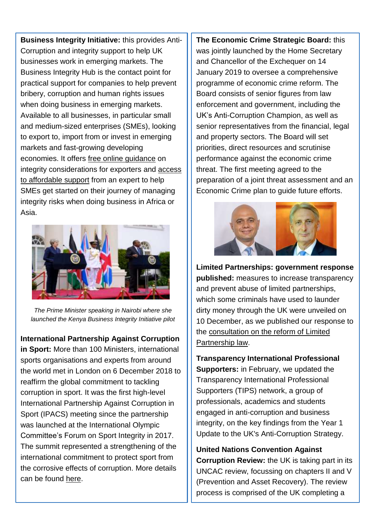**Business Integrity Initiative:** this provides Anti-Corruption and integrity support to help UK businesses work in emerging markets. The Business Integrity Hub is the contact point for practical support for companies to help prevent bribery, corruption and human rights issues when doing business in emerging markets. Available to all businesses, in particular small and medium-sized enterprises (SMEs), looking to export to, import from or invest in emerging markets and fast-growing developing economies. It offers [free online guidance](https://www.great.gov.uk/advice/manage-legal-and-ethical-compliance/understand-business-risk-in-overseas-markets/?source=market_research.) on integrity considerations for exporters and [access](https://emea01.safelinks.protection.outlook.com/?url=https%3A%2F%2Fwww.great.gov.uk%2Fadvice%2Fmanage-legal-and-ethical-compliance%2Fhelping-companies-do-business-with-integrity%2F&data=02%7C01%7C%7C24915cc2e84a49d0e29408d68b49f179%7Ccdf709af1a184c74bd936d14a64d73b3%7C0%7C0%7C636849547647253294&sdata=SopHCAJllCzNKI0MuSgKHyjvgXjHuQRDxsY6vxtzvlw%3D&reserved=0)  [to affordable support](https://emea01.safelinks.protection.outlook.com/?url=https%3A%2F%2Fwww.great.gov.uk%2Fadvice%2Fmanage-legal-and-ethical-compliance%2Fhelping-companies-do-business-with-integrity%2F&data=02%7C01%7C%7C24915cc2e84a49d0e29408d68b49f179%7Ccdf709af1a184c74bd936d14a64d73b3%7C0%7C0%7C636849547647253294&sdata=SopHCAJllCzNKI0MuSgKHyjvgXjHuQRDxsY6vxtzvlw%3D&reserved=0) from an expert to help SMEs get started on their journey of managing integrity risks when doing business in Africa or Asia.



*The Prime Minister speaking in Nairobi where she launched the Kenya Business Integrity Initiative pilot*

**International Partnership Against Corruption in Sport:** More than 100 Ministers, international sports organisations and experts from around the world met in London on 6 December 2018 to reaffirm the global commitment to tackling corruption in sport. It was the first high-level International Partnership Against Corruption in Sport (IPACS) meeting since the partnership was launched at the International Olympic Committee's Forum on Sport Integrity in 2017. The summit represented a strengthening of the international commitment to protect sport from the corrosive effects of corruption. More details can be found [here.](https://www.gov.uk/government/news/major-summit-staged-in-london-as-part-of-global-fight-against-corruption-in-sport)

**The Economic Crime Strategic Board:** this was jointly launched by the Home Secretary and Chancellor of the Exchequer on 14 January 2019 to oversee a comprehensive programme of economic crime reform. The Board consists of senior figures from law enforcement and government, including the UK's Anti-Corruption Champion, as well as senior representatives from the financial, legal and property sectors. The Board will set priorities, direct resources and scrutinise performance against the economic crime threat. The first meeting agreed to the preparation of a joint threat assessment and an Economic Crime plan to guide future efforts.



**Limited Partnerships: government response published:** measures to increase transparency and prevent abuse of limited partnerships, which some criminals have used to launder dirty money through the UK were unveiled on 10 December, as we published our response to the [consultation on the reform of Limited](https://www.gov.uk/government/consultations/limited-partnerships-reform-of-limited-partnership-law)  [Partnership law.](https://www.gov.uk/government/consultations/limited-partnerships-reform-of-limited-partnership-law)

**Transparency International Professional Supporters:** in February, we updated the Transparency International Professional Supporters (TIPS) network, a group of professionals, academics and students engaged in anti-corruption and business integrity, on the key findings from the Year 1 Update to the UK's Anti-Corruption Strategy.

**United Nations Convention Against Corruption Review:** the UK is taking part in its UNCAC review, focussing on chapters II and V (Prevention and Asset Recovery). The review process is comprised of the UK completing a